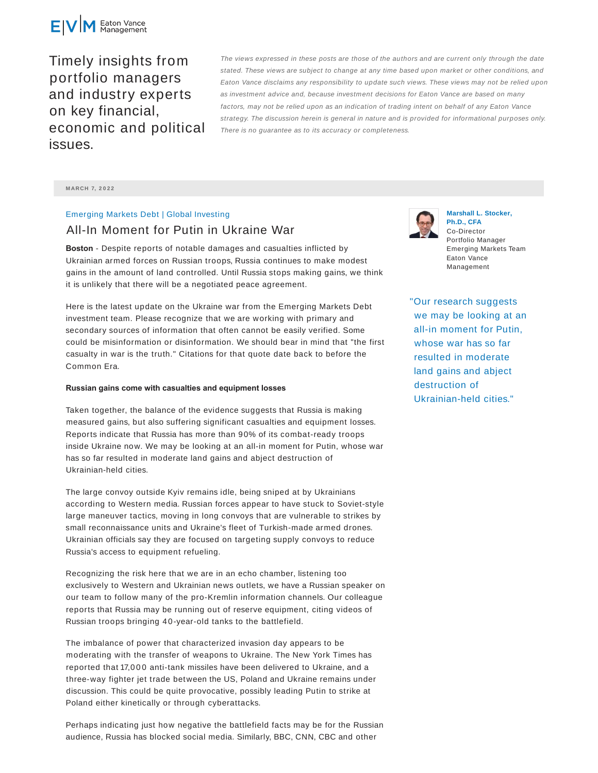

Timely insights from portfolio managers and industry experts on key financial, economic and political issues.

The views expressed in these posts are those of the authors and are current only through the date stated. These views are subject to change at any time based upon market or other conditions, and Eaton Vance disclaims any responsibility to update such views. These views may not be relied upon as investment advice and, because investment decisions for Eaton Vance are based on many factors, may not be relied upon as an indication of trading intent on behalf of any Eaton Vance strategy. The discussion herein is general in nature and is provided for informational purposes only. There is no guarantee as to its accuracy or completeness.

**M ARCH 7, 2 0 2 2**

## Emerging Markets Debt | Global Investing

# All-In Moment for Putin in Ukraine War

**Boston** - Despite reports of notable damages and casualties inflicted by Ukrainian armed forces on Russian troops, Russia continues to make modest gains in the amount of land controlled. Until Russia stops making gains, we think it is unlikely that there will be a negotiated peace agreement.

Here is the latest update on the Ukraine war from the Emerging Markets Debt investment team. Please recognize that we are working with primary and secondary sources of information that often cannot be easily verified. Some could be misinformation or disinformation. We should bear in mind that "the first casualty in war is the truth." Citations for that quote date back to before the Common Era.

### **Russian gains come with casualties and equipment losses**

Taken together, the balance of the evidence suggests that Russia is making measured gains, but also suffering significant casualties and equipment losses. Reports indicate that Russia has more than 90% of its combat-ready troops inside Ukraine now. We may be looking at an all-in moment for Putin, whose war has so far resulted in moderate land gains and abject destruction of Ukrainian-held cities.

The large convoy outside Kyiv remains idle, being sniped at by Ukrainians according to Western media. Russian forces appear to have stuck to Soviet-style large maneuver tactics, moving in long convoys that are vulnerable to strikes by small reconnaissance units and Ukraine's fleet of Turkish-made armed drones. Ukrainian officials say they are focused on targeting supply convoys to reduce Russia's access to equipment refueling.

Recognizing the risk here that we are in an echo chamber, listening too exclusively to Western and Ukrainian news outlets, we have a Russian speaker on our team to follow many of the pro-Kremlin information channels. Our colleague reports that Russia may be running out of reserve equipment, citing videos of Russian troops bringing 40-year-old tanks to the battlefield.

The imbalance of power that characterized invasion day appears to be moderating with the transfer of weapons to Ukraine. The New York Times has reported that 17,000 anti-tank missiles have been delivered to Ukraine, and a three-way fighter jet trade between the US, Poland and Ukraine remains under discussion. This could be quite provocative, possibly leading Putin to strike at Poland either kinetically or through cyberattacks.

Perhaps indicating just how negative the battlefield facts may be for the Russian audience, Russia has blocked social media. Similarly, BBC, CNN, CBC and other



**Marshall L. Stocker, Ph.D., CFA** Co-Director Portfolio Manager Emerging Markets Team Eaton Vance Management

"Our research suggests we may be looking at an all-in moment for Putin, whose war has so far resulted in moderate land gains and abject destruction of Ukrainian-held cities."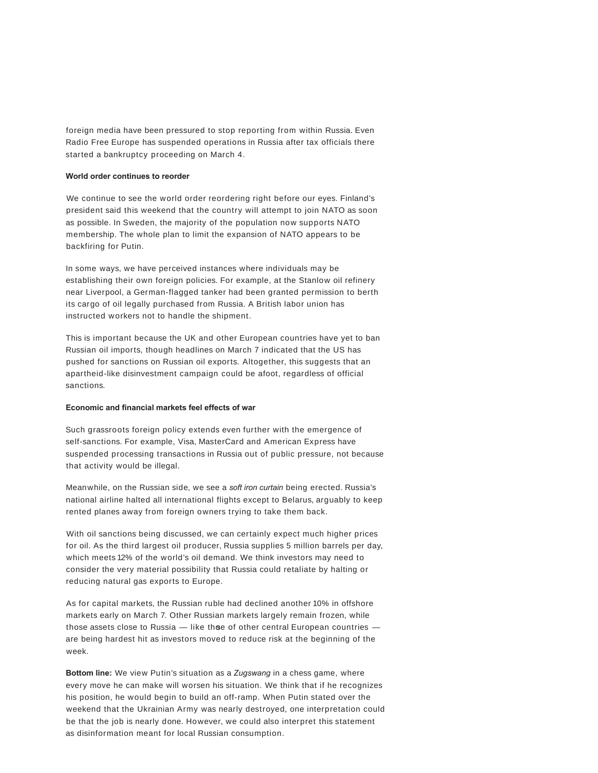foreign media have been pressured to stop reporting from within Russia. Even Radio Free Europe has suspended operations in Russia after tax officials there started a bankruptcy proceeding on March 4.

## **World order continues to reorder**

We continue to see the world order reordering right before our eyes. Finland's president said this weekend that the country will attempt to join NATO as soon as possible. In Sweden, the majority of the population now supports NATO membership. The whole plan to limit the expansion of NATO appears to be backfiring for Putin.

In some ways, we have perceived instances where individuals may be establishing their own foreign policies. For example, at the Stanlow oil refinery near Liverpool, a German-flagged tanker had been granted permission to berth its cargo of oil legally purchased from Russia. A British labor union has instructed workers not to handle the shipment.

This is important because the UK and other European countries have yet to ban Russian oil imports, though headlines on March 7 indicated that the US has pushed for sanctions on Russian oil exports. Altogether, this suggests that an apartheid-like disinvestment campaign could be afoot, regardless of official sanctions.

## **Economic and financial markets feel effects of war**

Such grassroots foreign policy extends even further with the emergence of self-sanctions. For example, Visa, MasterCard and American Express have suspended processing transactions in Russia out of public pressure, not because that activity would be illegal.

Meanwhile, on the Russian side, we see a *soft iron curtain* being erected. Russia's national airline halted all international flights except to Belarus, arguably to keep rented planes away from foreign owners trying to take them back.

With oil sanctions being discussed, we can certainly expect much higher prices for oil. As the third largest oil producer, Russia supplies 5 million barrels per day, which meets 12% of the world's oil demand. We think investors may need to consider the very material possibility that Russia could retaliate by halting or reducing natural gas exports to Europe.

As for capital markets, the Russian ruble had declined another 10% in offshore markets early on March 7. Other Russian markets largely remain frozen, while those assets close to Russia  $-$  like thee of other central European countries  $$ are being hardest hit as investors moved to reduce risk at the beginning of the week.

**Bottom line:** We view Putin's situation as a *Zugswang* in a chess game, where every move he can make will worsen his situation. We think that if he recognizes his position, he would begin to build an off-ramp. When Putin stated over the weekend that the Ukrainian Army was nearly destroyed, one interpretation could be that the job is nearly done. However, we could also interpret this statement as disinformation meant for local Russian consumption.